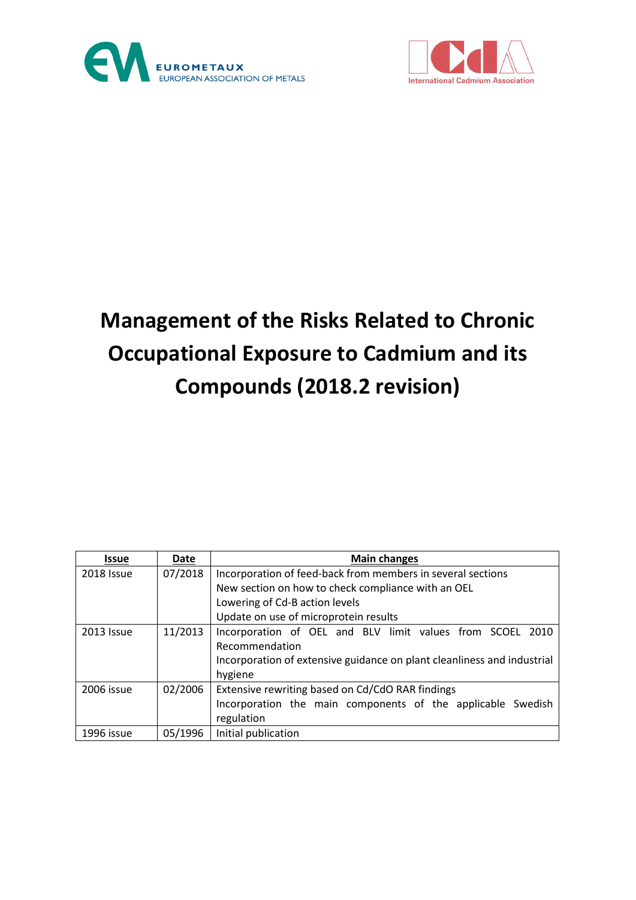



# **Management of the Risks Related to Chronic Occupational Exposure to Cadmium and its Compounds (2018.2 revision)**

| <b>Issue</b> | Date    | <b>Main changes</b>                                                     |
|--------------|---------|-------------------------------------------------------------------------|
| 2018 Issue   | 07/2018 | Incorporation of feed-back from members in several sections             |
|              |         | New section on how to check compliance with an OEL                      |
|              |         | Lowering of Cd-B action levels                                          |
|              |         | Update on use of microprotein results                                   |
| 2013 Issue   | 11/2013 | Incorporation of OEL and BLV limit values from SCOEL 2010               |
|              |         | Recommendation                                                          |
|              |         | Incorporation of extensive guidance on plant cleanliness and industrial |
|              |         | hygiene                                                                 |
| 2006 issue   | 02/2006 | Extensive rewriting based on Cd/CdO RAR findings                        |
|              |         | Incorporation the main components of the applicable Swedish             |
|              |         | regulation                                                              |
| 1996 issue   | 05/1996 | Initial publication                                                     |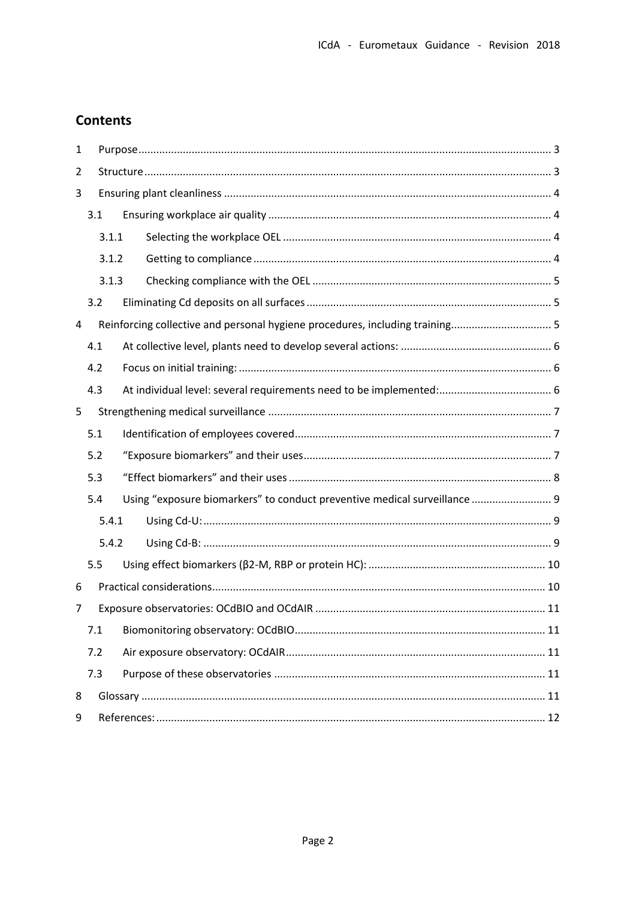# **Contents**

| 1 |     |       |                                                                              |  |
|---|-----|-------|------------------------------------------------------------------------------|--|
| 2 |     |       |                                                                              |  |
| 3 |     |       |                                                                              |  |
|   | 3.1 |       |                                                                              |  |
|   |     | 3.1.1 |                                                                              |  |
|   |     | 3.1.2 |                                                                              |  |
|   |     | 3.1.3 |                                                                              |  |
|   | 3.2 |       |                                                                              |  |
| 4 |     |       | Reinforcing collective and personal hygiene procedures, including training 5 |  |
|   | 4.1 |       |                                                                              |  |
|   | 4.2 |       |                                                                              |  |
|   | 4.3 |       |                                                                              |  |
| 5 |     |       |                                                                              |  |
|   | 5.1 |       |                                                                              |  |
|   | 5.2 |       |                                                                              |  |
|   | 5.3 |       |                                                                              |  |
|   | 5.4 |       | Using "exposure biomarkers" to conduct preventive medical surveillance  9    |  |
|   |     | 5.4.1 |                                                                              |  |
|   |     | 5.4.2 |                                                                              |  |
|   | 5.5 |       |                                                                              |  |
| 6 |     |       |                                                                              |  |
| 7 |     |       |                                                                              |  |
|   | 7.1 |       |                                                                              |  |
|   | 7.2 |       |                                                                              |  |
|   | 7.3 |       |                                                                              |  |
| 8 |     |       |                                                                              |  |
| 9 |     |       |                                                                              |  |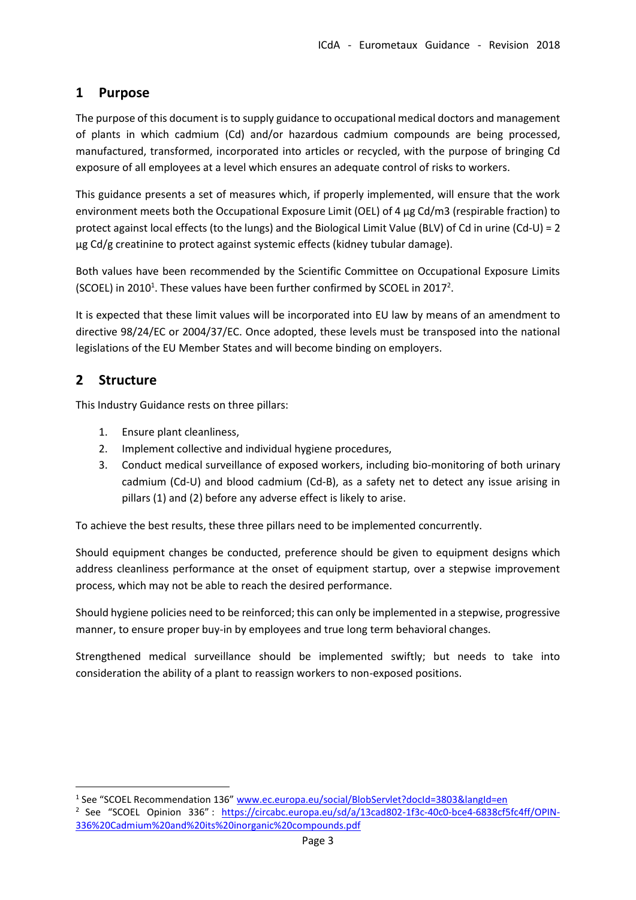# <span id="page-2-0"></span>**1 Purpose**

The purpose of this document is to supply guidance to occupational medical doctors and management of plants in which cadmium (Cd) and/or hazardous cadmium compounds are being processed, manufactured, transformed, incorporated into articles or recycled, with the purpose of bringing Cd exposure of all employees at a level which ensures an adequate control of risks to workers.

This guidance presents a set of measures which, if properly implemented, will ensure that the work environment meets both the Occupational Exposure Limit (OEL) of 4 µg Cd/m3 (respirable fraction) to protect against local effects (to the lungs) and the Biological Limit Value (BLV) of Cd in urine (Cd-U) = 2 µg Cd/g creatinine to protect against systemic effects (kidney tubular damage).

Both values have been recommended by the Scientific Committee on Occupational Exposure Limits (SCOEL) in 2010<sup>1</sup>. These values have been further confirmed by SCOEL in 2017<sup>2</sup>.

It is expected that these limit values will be incorporated into EU law by means of an amendment to directive 98/24/EC or 2004/37/EC. Once adopted, these levels must be transposed into the national legislations of the EU Member States and will become binding on employers.

# <span id="page-2-1"></span>**2 Structure**

 $\overline{\phantom{a}}$ 

This Industry Guidance rests on three pillars:

- 1. Ensure plant cleanliness,
- 2. Implement collective and individual hygiene procedures,
- 3. Conduct medical surveillance of exposed workers, including bio-monitoring of both urinary cadmium (Cd-U) and blood cadmium (Cd-B), as a safety net to detect any issue arising in pillars (1) and (2) before any adverse effect is likely to arise.

To achieve the best results, these three pillars need to be implemented concurrently.

Should equipment changes be conducted, preference should be given to equipment designs which address cleanliness performance at the onset of equipment startup, over a stepwise improvement process, which may not be able to reach the desired performance.

Should hygiene policies need to be reinforced; this can only be implemented in a stepwise, progressive manner, to ensure proper buy-in by employees and true long term behavioral changes.

Strengthened medical surveillance should be implemented swiftly; but needs to take into consideration the ability of a plant to reassign workers to non-exposed positions.

<sup>&</sup>lt;sup>1</sup> See "SCOEL Recommendation 136" www.ec.europa.eu/social/BlobServlet?docId=3803&langId=en

<sup>&</sup>lt;sup>2</sup> See "SCOEL Opinion 336": [https://circabc.europa.eu/sd/a/13cad802-1f3c-40c0-bce4-6838cf5fc4ff/OPIN-](https://circabc.europa.eu/sd/a/13cad802-1f3c-40c0-bce4-6838cf5fc4ff/OPIN-336%20Cadmium%20and%20its%20inorganic%20compounds.pdf)[336%20Cadmium%20and%20its%20inorganic%20compounds.pdf](https://circabc.europa.eu/sd/a/13cad802-1f3c-40c0-bce4-6838cf5fc4ff/OPIN-336%20Cadmium%20and%20its%20inorganic%20compounds.pdf)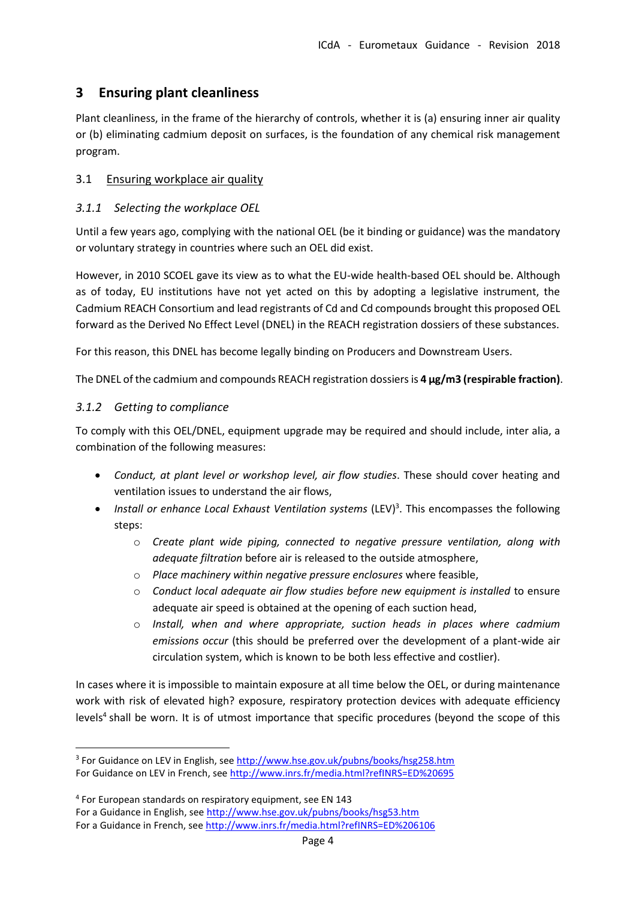# <span id="page-3-0"></span>**3 Ensuring plant cleanliness**

Plant cleanliness, in the frame of the hierarchy of controls, whether it is (a) ensuring inner air quality or (b) eliminating cadmium deposit on surfaces, is the foundation of any chemical risk management program.

### <span id="page-3-1"></span>3.1 Ensuring workplace air quality

### <span id="page-3-2"></span>*3.1.1 Selecting the workplace OEL*

Until a few years ago, complying with the national OEL (be it binding or guidance) was the mandatory or voluntary strategy in countries where such an OEL did exist.

However, in 2010 SCOEL gave its view as to what the EU-wide health-based OEL should be. Although as of today, EU institutions have not yet acted on this by adopting a legislative instrument, the Cadmium REACH Consortium and lead registrants of Cd and Cd compounds brought this proposed OEL forward as the Derived No Effect Level (DNEL) in the REACH registration dossiers of these substances.

For this reason, this DNEL has become legally binding on Producers and Downstream Users.

The DNEL of the cadmium and compounds REACH registration dossiers is **4 µg/m3 (respirable fraction)**.

#### <span id="page-3-3"></span>*3.1.2 Getting to compliance*

 $\overline{a}$ 

To comply with this OEL/DNEL, equipment upgrade may be required and should include, inter alia, a combination of the following measures:

- *Conduct, at plant level or workshop level, air flow studies*. These should cover heating and ventilation issues to understand the air flows,
- *Install or enhance Local Exhaust Ventilation systems* (LEV) 3 . This encompasses the following steps:
	- o *Create plant wide piping, connected to negative pressure ventilation, along with adequate filtration* before air is released to the outside atmosphere,
	- o *Place machinery within negative pressure enclosures* where feasible,
	- o *Conduct local adequate air flow studies before new equipment is installed* to ensure adequate air speed is obtained at the opening of each suction head,
	- o *Install, when and where appropriate, suction heads in places where cadmium emissions occur* (this should be preferred over the development of a plant-wide air circulation system, which is known to be both less effective and costlier).

In cases where it is impossible to maintain exposure at all time below the OEL, or during maintenance work with risk of elevated high? exposure, respiratory protection devices with adequate efficiency levels<sup>4</sup> shall be worn. It is of utmost importance that specific procedures (beyond the scope of this

<sup>&</sup>lt;sup>3</sup> For Guidance on LEV in English, see <u>http://www.hse.gov.uk/pubns/books/hsg258.htm</u> For Guidance on LEV in French, se[e http://www.inrs.fr/media.html?refINRS=ED%20695](http://www.inrs.fr/media.html?refINRS=ED%20695)

<sup>4</sup> For European standards on respiratory equipment, see EN 143 For a Guidance in English, se[e http://www.hse.gov.uk/pubns/books/hsg53.htm](http://www.hse.gov.uk/pubns/books/hsg53.htm) For a Guidance in French, se[e http://www.inrs.fr/media.html?refINRS=ED%206106](http://www.inrs.fr/media.html?refINRS=ED%206106)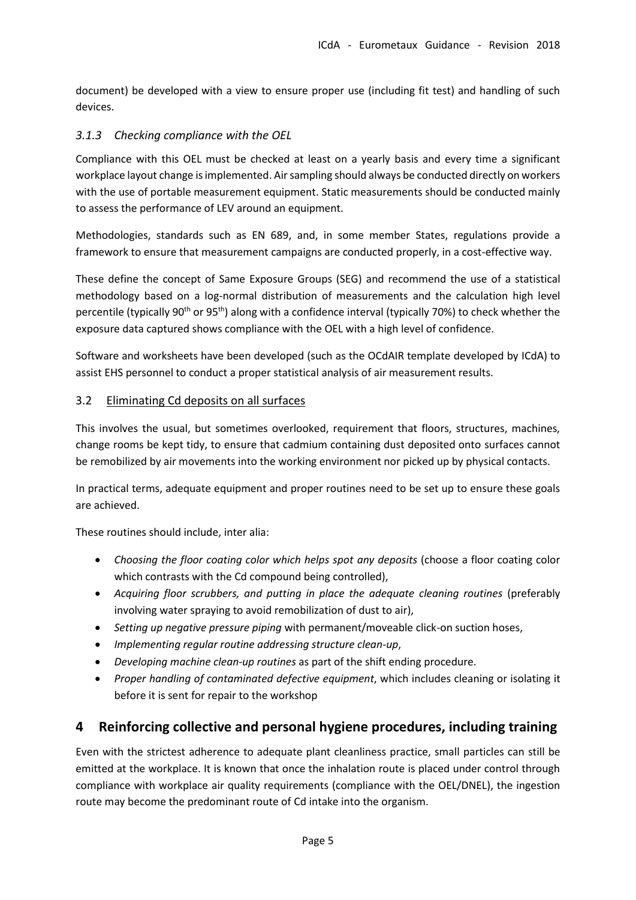document) be developed with a view to ensure proper use (including fit test) and handling of such devices.

#### <span id="page-4-0"></span>*3.1.3 Checking compliance with the OEL*

Compliance with this OEL must be checked at least on a yearly basis and every time a significant workplace layout change is implemented. Air sampling should always be conducted directly on workers with the use of portable measurement equipment. Static measurements should be conducted mainly to assess the performance of LEV around an equipment.

Methodologies, standards such as EN 689, and, in some member States, regulations provide a framework to ensure that measurement campaigns are conducted properly, in a cost-effective way.

These define the concept of Same Exposure Groups (SEG) and recommend the use of a statistical methodology based on a log-normal distribution of measurements and the calculation high level percentile (typically 90<sup>th</sup> or 95<sup>th</sup>) along with a confidence interval (typically 70%) to check whether the exposure data captured shows compliance with the OEL with a high level of confidence.

Software and worksheets have been developed (such as the OCdAIR template developed by ICdA) to assist EHS personnel to conduct a proper statistical analysis of air measurement results.

#### <span id="page-4-1"></span>3.2 Eliminating Cd deposits on all surfaces

This involves the usual, but sometimes overlooked, requirement that floors, structures, machines, change rooms be kept tidy, to ensure that cadmium containing dust deposited onto surfaces cannot be remobilized by air movements into the working environment nor picked up by physical contacts.

In practical terms, adequate equipment and proper routines need to be set up to ensure these goals are achieved.

These routines should include, inter alia:

- *Choosing the floor coating color which helps spot any deposits* (choose a floor coating color which contrasts with the Cd compound being controlled),
- *Acquiring floor scrubbers, and putting in place the adequate cleaning routines* (preferably involving water spraying to avoid remobilization of dust to air),
- *Setting up negative pressure piping* with permanent/moveable click-on suction hoses,
- *Implementing regular routine addressing structure clean-up*,
- *Developing machine clean-up routines* as part of the shift ending procedure.
- *Proper handling of contaminated defective equipment*, which includes cleaning or isolating it before it is sent for repair to the workshop

# <span id="page-4-2"></span>**4 Reinforcing collective and personal hygiene procedures, including training**

Even with the strictest adherence to adequate plant cleanliness practice, small particles can still be emitted at the workplace. It is known that once the inhalation route is placed under control through compliance with workplace air quality requirements (compliance with the OEL/DNEL), the ingestion route may become the predominant route of Cd intake into the organism.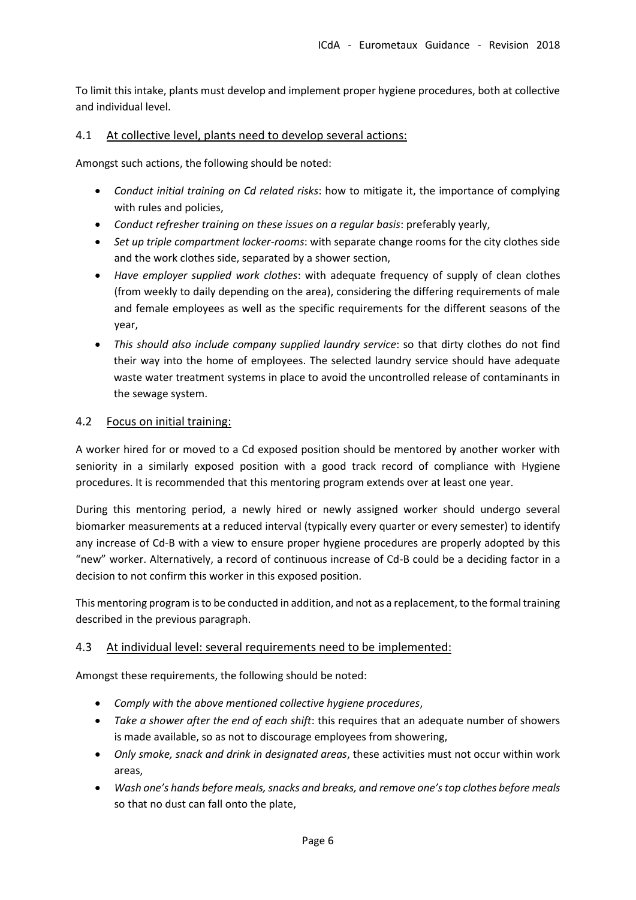To limit this intake, plants must develop and implement proper hygiene procedures, both at collective and individual level.

#### <span id="page-5-0"></span>4.1 At collective level, plants need to develop several actions:

Amongst such actions, the following should be noted:

- *Conduct initial training on Cd related risks*: how to mitigate it, the importance of complying with rules and policies,
- *Conduct refresher training on these issues on a regular basis*: preferably yearly,
- *Set up triple compartment locker-rooms*: with separate change rooms for the city clothes side and the work clothes side, separated by a shower section,
- *Have employer supplied work clothes*: with adequate frequency of supply of clean clothes (from weekly to daily depending on the area), considering the differing requirements of male and female employees as well as the specific requirements for the different seasons of the year,
- *This should also include company supplied laundry service*: so that dirty clothes do not find their way into the home of employees. The selected laundry service should have adequate waste water treatment systems in place to avoid the uncontrolled release of contaminants in the sewage system.

#### <span id="page-5-1"></span>4.2 Focus on initial training:

A worker hired for or moved to a Cd exposed position should be mentored by another worker with seniority in a similarly exposed position with a good track record of compliance with Hygiene procedures. It is recommended that this mentoring program extends over at least one year.

During this mentoring period, a newly hired or newly assigned worker should undergo several biomarker measurements at a reduced interval (typically every quarter or every semester) to identify any increase of Cd-B with a view to ensure proper hygiene procedures are properly adopted by this "new" worker. Alternatively, a record of continuous increase of Cd-B could be a deciding factor in a decision to not confirm this worker in this exposed position.

This mentoring program is to be conducted in addition, and not as a replacement, to the formal training described in the previous paragraph.

#### <span id="page-5-2"></span>4.3 At individual level: several requirements need to be implemented:

Amongst these requirements, the following should be noted:

- *Comply with the above mentioned collective hygiene procedures*,
- *Take a shower after the end of each shift*: this requires that an adequate number of showers is made available, so as not to discourage employees from showering,
- *Only smoke, snack and drink in designated areas*, these activities must not occur within work areas,
- *Wash one's hands before meals, snacks and breaks, and remove one's top clothes before meals*  so that no dust can fall onto the plate,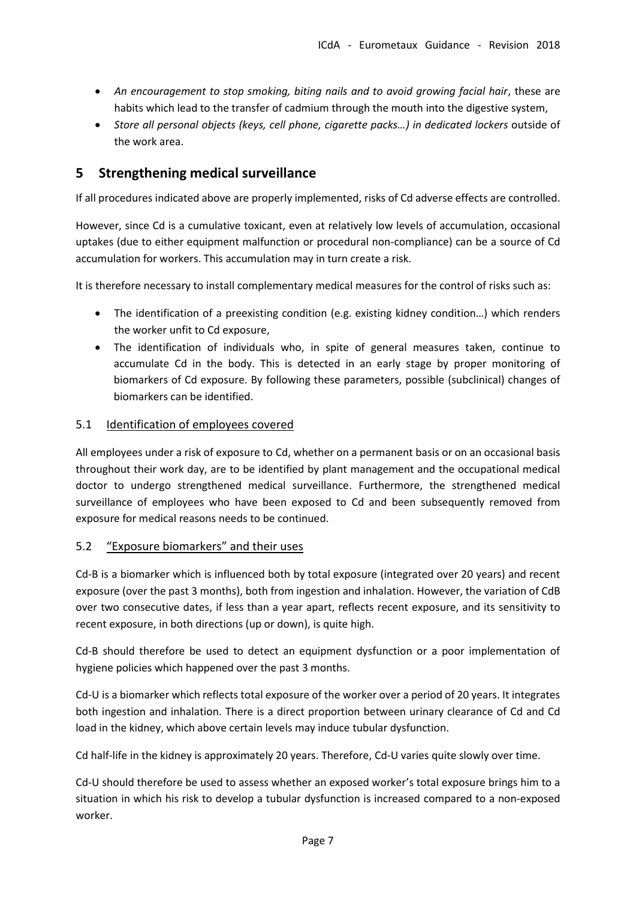- An encouragement to stop smoking, biting nails and to avoid growing facial hair, these are habits which lead to the transfer of cadmium through the mouth into the digestive system,
- *Store all personal objects (keys, cell phone, cigarette packs…) in dedicated lockers* outside of the work area.

# <span id="page-6-0"></span>**5 Strengthening medical surveillance**

If all procedures indicated above are properly implemented, risks of Cd adverse effects are controlled.

However, since Cd is a cumulative toxicant, even at relatively low levels of accumulation, occasional uptakes (due to either equipment malfunction or procedural non-compliance) can be a source of Cd accumulation for workers. This accumulation may in turn create a risk.

It is therefore necessary to install complementary medical measures for the control of risks such as:

- The identification of a preexisting condition (e.g. existing kidney condition…) which renders the worker unfit to Cd exposure,
- The identification of individuals who, in spite of general measures taken, continue to accumulate Cd in the body. This is detected in an early stage by proper monitoring of biomarkers of Cd exposure. By following these parameters, possible (subclinical) changes of biomarkers can be identified.

#### <span id="page-6-1"></span>5.1 Identification of employees covered

All employees under a risk of exposure to Cd, whether on a permanent basis or on an occasional basis throughout their work day, are to be identified by plant management and the occupational medical doctor to undergo strengthened medical surveillance. Furthermore, the strengthened medical surveillance of employees who have been exposed to Cd and been subsequently removed from exposure for medical reasons needs to be continued.

#### <span id="page-6-2"></span>5.2 "Exposure biomarkers" and their uses

Cd-B is a biomarker which is influenced both by total exposure (integrated over 20 years) and recent exposure (over the past 3 months), both from ingestion and inhalation. However, the variation of CdB over two consecutive dates, if less than a year apart, reflects recent exposure, and its sensitivity to recent exposure, in both directions (up or down), is quite high.

Cd-B should therefore be used to detect an equipment dysfunction or a poor implementation of hygiene policies which happened over the past 3 months.

Cd-U is a biomarker which reflects total exposure of the worker over a period of 20 years. It integrates both ingestion and inhalation. There is a direct proportion between urinary clearance of Cd and Cd load in the kidney, which above certain levels may induce tubular dysfunction.

Cd half-life in the kidney is approximately 20 years. Therefore, Cd-U varies quite slowly over time.

Cd-U should therefore be used to assess whether an exposed worker's total exposure brings him to a situation in which his risk to develop a tubular dysfunction is increased compared to a non-exposed worker.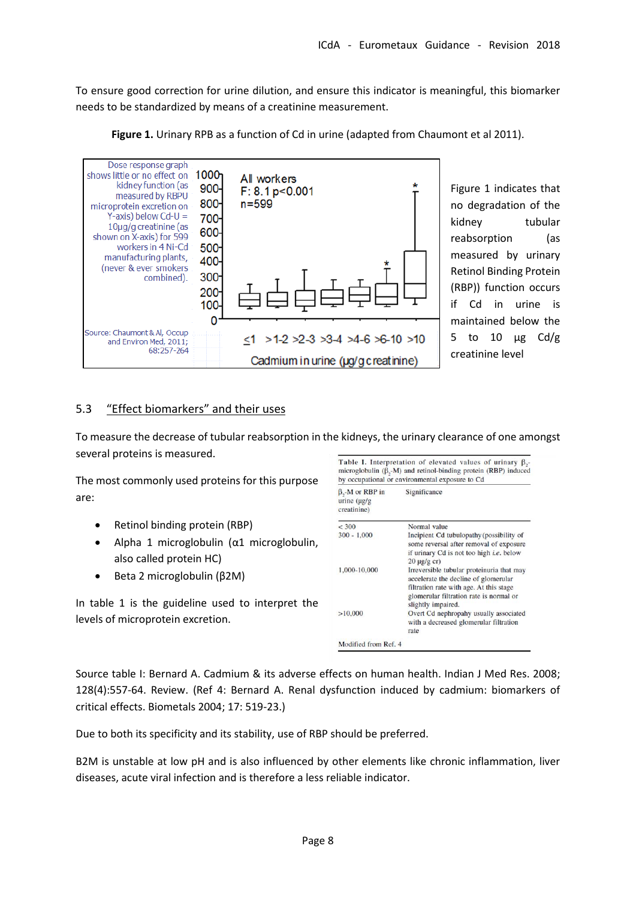To ensure good correction for urine dilution, and ensure this indicator is meaningful, this biomarker needs to be standardized by means of a creatinine measurement.

Figure 1. Urinary RPB as a function of Cd in urine (adapted from Chaumont et al 2011).



Figure 1 indicates that no degradation of the kidney tubular reabsorption (as measured by urinary Retinol Binding Protein (RBP)) function occurs if Cd in urine is maintained below the 5 to 10  $\mu$ g Cd/g creatinine level

<span id="page-7-0"></span>5.3 "Effect biomarkers" and their uses

To measure the decrease of tubular reabsorption in the kidneys, the urinary clearance of one amongst several proteins is measured.

The most commonly used proteins for this purpose are:

- Retinol binding protein (RBP)
- Alpha 1 microglobulin (α1 microglobulin, also called protein HC)
- Beta 2 microglobulin (β2M)

In table 1 is the guideline used to interpret the levels of microprotein excretion.

| $\beta$ <sub>2</sub> -M or RBP in<br>urine $(\mu g/g)$<br>creatinine) | Significance                                                                                                                                                                                  |
|-----------------------------------------------------------------------|-----------------------------------------------------------------------------------------------------------------------------------------------------------------------------------------------|
| < 300                                                                 | Normal value                                                                                                                                                                                  |
| $300 - 1,000$                                                         | Incipient Cd tubulopathy (possibility of<br>some reversal after removal of exposure<br>if urinary Cd is not too high <i>i.e.</i> below<br>$20 \mu g/g$ cr)                                    |
| 1,000-10,000                                                          | Irreversible tubular proteinuria that may<br>accelerate the decline of glomerular<br>filtration rate with age. At this stage<br>glomerular filtration rate is normal or<br>slightly impaired. |
| >10,000                                                               | Overt Cd nephropahy usually associated<br>with a decreased glomerular filtration<br>rate                                                                                                      |

Source table I: Bernard A. Cadmium & its adverse effects on human health. Indian J Med Res. 2008; 128(4):557-64. Review. (Ref 4: Bernard A. Renal dysfunction induced by cadmium: biomarkers of critical effects. Biometals 2004; 17: 519-23.)

Due to both its specificity and its stability, use of RBP should be preferred.

B2M is unstable at low pH and is also influenced by other elements like chronic inflammation, liver diseases, acute viral infection and is therefore a less reliable indicator.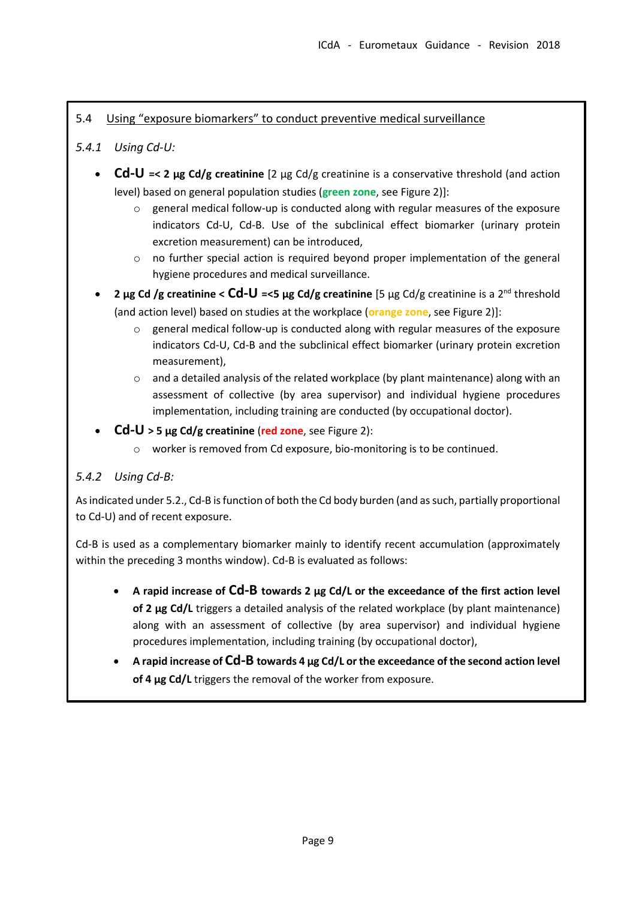# <span id="page-8-0"></span>5.4 Using "exposure biomarkers" to conduct preventive medical surveillance

# <span id="page-8-1"></span>*5.4.1 Using Cd-U:*

- **Cd-U =< 2 µg Cd/g creatinine** [2 µg Cd/g creatinine is a conservative threshold (and action level) based on general population studies (**green zone**, see Figure 2)]:
	- o general medical follow-up is conducted along with regular measures of the exposure indicators Cd-U, Cd-B. Use of the subclinical effect biomarker (urinary protein excretion measurement) can be introduced,
	- $\circ$  no further special action is required beyond proper implementation of the general hygiene procedures and medical surveillance.
- 2 μg Cd /g creatinine < Cd-U =<5 μg Cd/g creatinine [5 μg Cd/g creatinine is a 2<sup>nd</sup> threshold (and action level) based on studies at the workplace (**orange zone**, see Figure 2)]:
	- o general medical follow-up is conducted along with regular measures of the exposure indicators Cd-U, Cd-B and the subclinical effect biomarker (urinary protein excretion measurement),
	- $\circ$  and a detailed analysis of the related workplace (by plant maintenance) along with an assessment of collective (by area supervisor) and individual hygiene procedures implementation, including training are conducted (by occupational doctor).
- **Cd-U > 5 µg Cd/g creatinine** (**red zone**, see Figure 2):
	- o worker is removed from Cd exposure, bio-monitoring is to be continued.

# <span id="page-8-2"></span>*5.4.2 Using Cd-B:*

As indicated under 5.2., Cd-B is function of both the Cd body burden (and as such, partially proportional to Cd-U) and of recent exposure.

Cd-B is used as a complementary biomarker mainly to identify recent accumulation (approximately within the preceding 3 months window). Cd-B is evaluated as follows:

- **A rapid increase of Cd-B towards 2 µg Cd/L or the exceedance of the first action level of 2 µg Cd/L** triggers a detailed analysis of the related workplace (by plant maintenance) along with an assessment of collective (by area supervisor) and individual hygiene procedures implementation, including training (by occupational doctor),
- **A rapid increase of Cd-B towards 4 µg Cd/L or the exceedance of the second action level of 4 µg Cd/L** triggers the removal of the worker from exposure.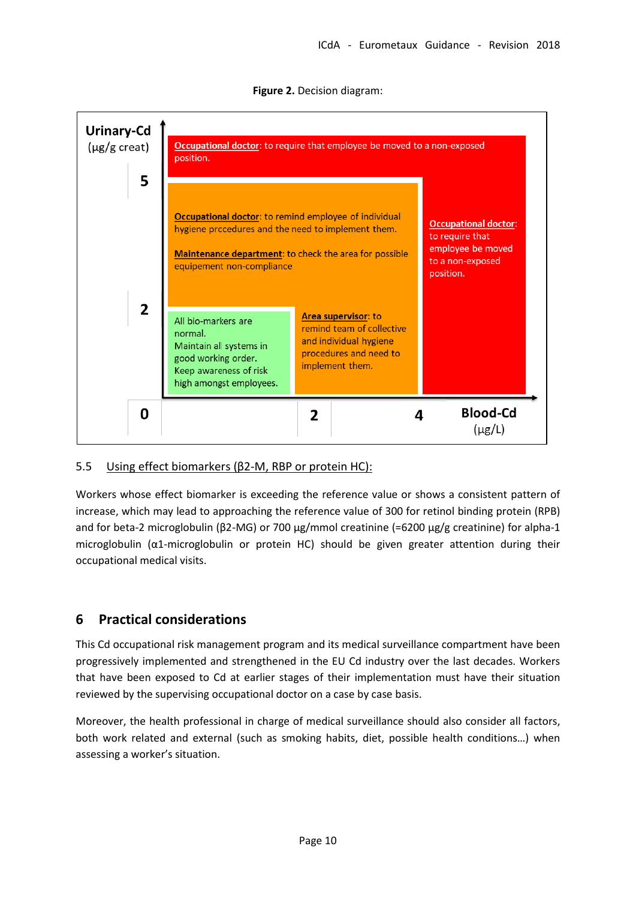

**Figure 2.** Decision diagram:

# <span id="page-9-0"></span>5.5 Using effect biomarkers (β2-M, RBP or protein HC):

Workers whose effect biomarker is exceeding the reference value or shows a consistent pattern of increase, which may lead to approaching the reference value of 300 for retinol binding protein (RPB) and for beta-2 microglobulin (β2-MG) or 700 μg/mmol creatinine (=6200 μg/g creatinine) for alpha-1 microglobulin (α1-microglobulin or protein HC) should be given greater attention during their occupational medical visits.

# <span id="page-9-1"></span>**6 Practical considerations**

This Cd occupational risk management program and its medical surveillance compartment have been progressively implemented and strengthened in the EU Cd industry over the last decades. Workers that have been exposed to Cd at earlier stages of their implementation must have their situation reviewed by the supervising occupational doctor on a case by case basis.

Moreover, the health professional in charge of medical surveillance should also consider all factors, both work related and external (such as smoking habits, diet, possible health conditions…) when assessing a worker's situation.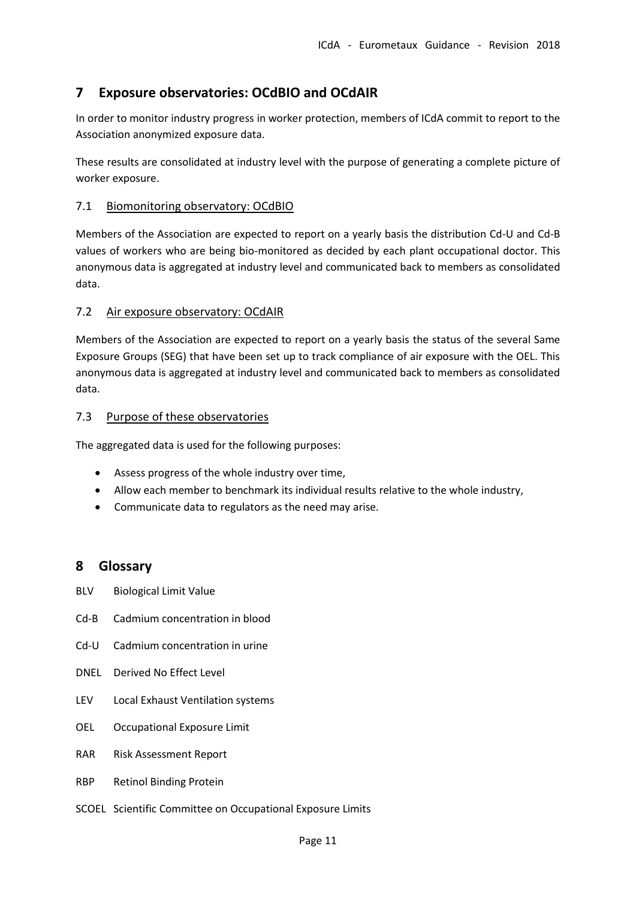# <span id="page-10-0"></span>**7 Exposure observatories: OCdBIO and OCdAIR**

In order to monitor industry progress in worker protection, members of ICdA commit to report to the Association anonymized exposure data.

These results are consolidated at industry level with the purpose of generating a complete picture of worker exposure.

#### <span id="page-10-1"></span>7.1 Biomonitoring observatory: OCdBIO

Members of the Association are expected to report on a yearly basis the distribution Cd-U and Cd-B values of workers who are being bio-monitored as decided by each plant occupational doctor. This anonymous data is aggregated at industry level and communicated back to members as consolidated data.

#### <span id="page-10-2"></span>7.2 Air exposure observatory: OCdAIR

Members of the Association are expected to report on a yearly basis the status of the several Same Exposure Groups (SEG) that have been set up to track compliance of air exposure with the OEL. This anonymous data is aggregated at industry level and communicated back to members as consolidated data.

#### <span id="page-10-3"></span>7.3 Purpose of these observatories

The aggregated data is used for the following purposes:

- Assess progress of the whole industry over time,
- Allow each member to benchmark its individual results relative to the whole industry,
- Communicate data to regulators as the need may arise.

# <span id="page-10-4"></span>**8 Glossary**

- BLV Biological Limit Value
- Cd-B Cadmium concentration in blood
- Cd-U Cadmium concentration in urine
- DNEL Derived No Effect Level
- LEV Local Exhaust Ventilation systems
- OEL Occupational Exposure Limit
- RAR Risk Assessment Report
- RBP Retinol Binding Protein
- SCOEL Scientific Committee on Occupational Exposure Limits